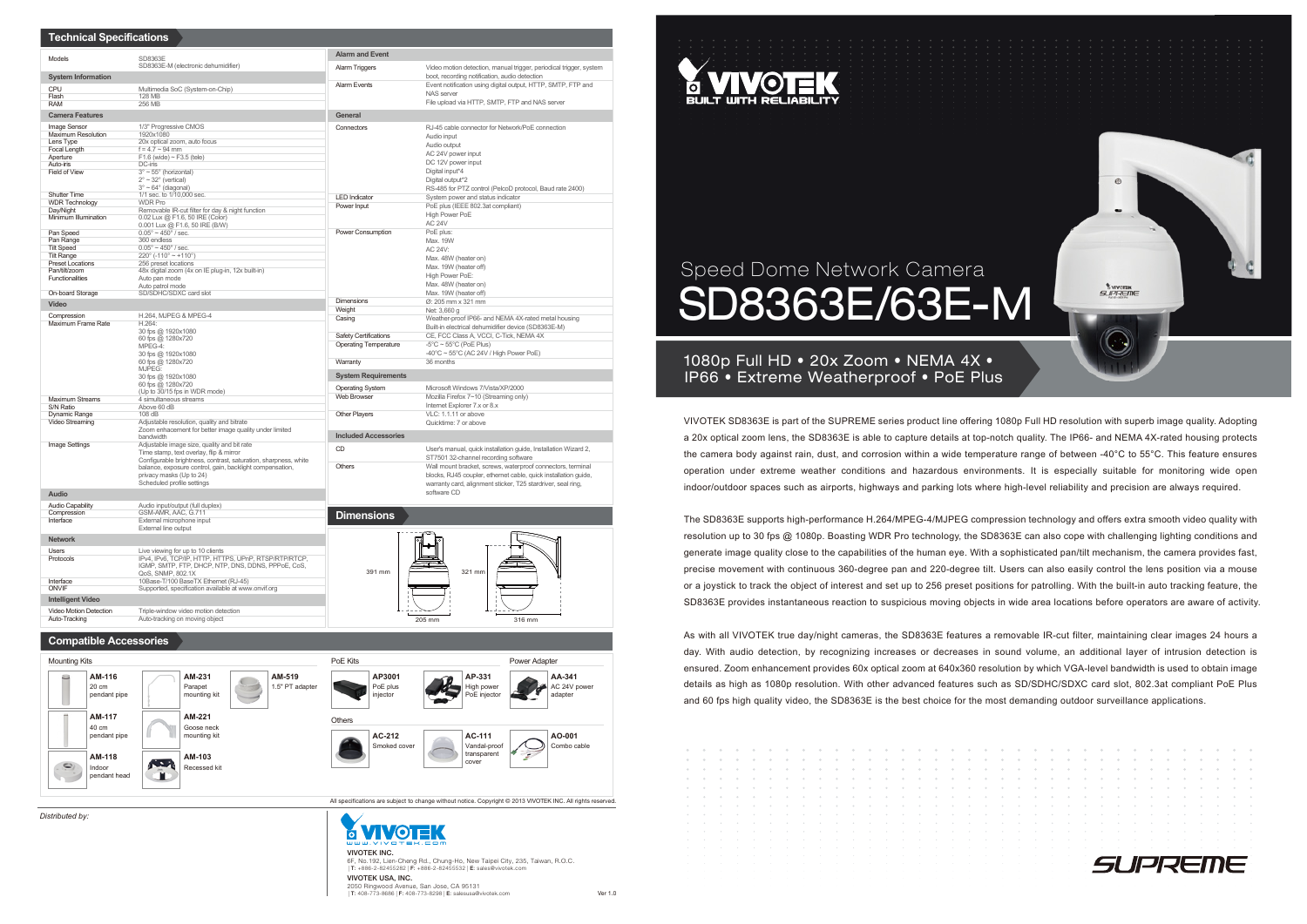# Speed Dome Network Camera SD8363E/63E-M

VIVOTEK SD8363E is part of the SUPREME series product line offering 1080p Full HD resolution with superb image quality. Adopting a 20x optical zoom lens, the SD8363E is able to capture details at top-notch quality. The IP66- and NEMA 4X-rated housing protects the camera body against rain, dust, and corrosion within a wide temperature range of between -40°C to 55°C. This feature ensures operation under extreme weather conditions and hazardous environments. It is especially suitable for monitoring wide open indoor/outdoor spaces such as airports, highways and parking lots where high-level reliability and precision are always required.

The SD8363E supports high-performance H.264/MPEG-4/MJPEG compression technology and offers extra smooth video quality with resolution up to 30 fps @ 1080p. Boasting WDR Pro technology, the SD8363E can also cope with challenging lighting conditions and generate image quality close to the capabilities of the human eye. With a sophisticated pan/tilt mechanism, the camera provides fast, precise movement with continuous 360-degree pan and 220-degree tilt. Users can also easily control the lens position via a mouse or a joystick to track the object of interest and set up to 256 preset positions for patrolling. With the built-in auto tracking feature, the SD8363E provides instantaneous reaction to suspicious moving objects in wide area locations before operators are aware of activity.

## 1080p Full HD • 20x Zoom • NEMA 4X • IP66 • Extreme Weatherproof • PoE Plus

As with all VIVOTEK true day/night cameras, the SD8363E features a removable IR-cut filter, maintaining clear images 24 hours a day. With audio detection, by recognizing increases or decreases in sound volume, an additional layer of intrusion detection is ensured. Zoom enhancement provides 60x optical zoom at 640x360 resolution by which VGA-level bandwidth is used to obtain image details as high as 1080p resolution. With other advanced features such as SD/SDHC/SDXC card slot, 802.3at compliant PoE Plus and 60 fps high quality video, the SD8363E is the best choice for the most demanding outdoor surveillance applications.

|                                                                                                                             | .                                                                                                                   |                |                     |        |                     |  |   |  |            |            |                      |                               |                          |                    |  |
|-----------------------------------------------------------------------------------------------------------------------------|---------------------------------------------------------------------------------------------------------------------|----------------|---------------------|--------|---------------------|--|---|--|------------|------------|----------------------|-------------------------------|--------------------------|--------------------|--|
| $\qquad \qquad \oplus$                                                                                                      | $\mathbb{Z}$                                                                                                        | $\sim$         | $\sim$              | $\sim$ | $\sim$ 0.000 $\sim$ |  | . |  |            |            | <b>Service</b> State | <b>COLLEGE AND STREET</b>     | $\sim$<br>$\sim$         |                    |  |
|                                                                                                                             | <b>COLL</b>                                                                                                         | <b>COLLEGE</b> | $\sim$ 0.1          | .      |                     |  |   |  |            |            |                      | <b>STATE</b><br>$\sim$ $\sim$ |                          | $\sim$             |  |
| $\sim$                                                                                                                      | <b>COLLEGE</b>                                                                                                      | $\sim$         | $\sim$ 0.000 $\sim$ | .      |                     |  |   |  |            |            |                      |                               |                          | $\sim$             |  |
| $\mathcal{L}_{\mathcal{F}}(x) = \mathcal{L}_{\mathcal{F}}(x) + \mathcal{L}_{\mathcal{F}}(x) + \mathcal{L}_{\mathcal{F}}(x)$ | $\circ$                                                                                                             | $\sim$         | $\sim$              | $\sim$ |                     |  | . |  | $\sim$ 0.1 | $\sim$ 0.1 | $\sim$               | $\sim$                        | $\sim$                   | $\sim$             |  |
| $\sim$                                                                                                                      | <b>COLLEGE</b>                                                                                                      |                |                     | .      |                     |  |   |  |            |            |                      |                               | <b>CONTRACTOR</b>        |                    |  |
| $\sim$                                                                                                                      | <b>COLLEGE</b>                                                                                                      |                |                     |        |                     |  |   |  |            |            |                      |                               |                          |                    |  |
| $\sim$                                                                                                                      |                                                                                                                     |                |                     |        |                     |  |   |  |            |            |                      |                               |                          |                    |  |
| $\sim$                                                                                                                      |                                                                                                                     |                |                     |        |                     |  |   |  |            |            |                      |                               |                          |                    |  |
| <b>State</b>                                                                                                                |                                                                                                                     |                |                     |        |                     |  |   |  |            |            |                      |                               | <b>Contract Contract</b> |                    |  |
| and the state<br><b>COLLEGE</b>                                                                                             | the contract of the contract of the contract of the contract of the contract of the contract of the contract of     |                |                     |        |                     |  |   |  |            |            |                      |                               |                          |                    |  |
|                                                                                                                             | and the contract of the contract of the contract of the contract of the contract of the contract of the contract of |                |                     |        |                     |  |   |  |            |            |                      |                               |                          |                    |  |
| <b>Contract Contract</b>                                                                                                    | the contract of the contract of the contract of the contract of the contract of the contract of the contract of     |                |                     |        |                     |  |   |  |            |            |                      |                               |                          |                    |  |
| <b>Contractor</b>                                                                                                           |                                                                                                                     |                |                     |        |                     |  |   |  |            |            |                      |                               |                          | the control of the |  |
| <b>Contractor</b>                                                                                                           | the contract of the contract of the contract of the contract of the contract of the contract of the contract of     |                |                     |        |                     |  |   |  |            |            |                      |                               |                          |                    |  |
|                                                                                                                             |                                                                                                                     |                |                     |        |                     |  |   |  |            |            |                      |                               |                          |                    |  |





*Distributed by:*



6F, No.192, Lien-Cheng Rd., Chung-Ho, New Taipei City, 235, Taiwan, R.O.C. *|*T: +886-2-82455282*|*F: +886-2-82455532*|* E: sales@vivotek.com VIVOTEK USA, INC. 2050 Ringwood Avenue, San Jose, CA 95131 *|*T: 408-773-8686*|*F: 408-773-8298*|*E: salesusa@vivotek.com



| <b>Technical Specifications</b>          |                                                                                                                             |                              |                                                                                                                     |  |  |  |  |  |  |  |
|------------------------------------------|-----------------------------------------------------------------------------------------------------------------------------|------------------------------|---------------------------------------------------------------------------------------------------------------------|--|--|--|--|--|--|--|
| Models                                   | SD8363E                                                                                                                     | <b>Alarm and Event</b>       |                                                                                                                     |  |  |  |  |  |  |  |
|                                          | SD8363E-M (electronic dehumidifier)                                                                                         | Alarm Triggers               | Video motion detection, manual trigger, periodical trigger, system<br>boot, recording notification, audio detection |  |  |  |  |  |  |  |
| <b>System Information</b>                |                                                                                                                             | <b>Alarm Events</b>          | Event notification using digital output, HTTP, SMTP, FTP and                                                        |  |  |  |  |  |  |  |
| CPU<br>Flash                             | Multimedia SoC (System-on-Chip)<br>128 MB                                                                                   |                              | NAS server                                                                                                          |  |  |  |  |  |  |  |
| <b>RAM</b>                               | 256 MB                                                                                                                      |                              | File upload via HTTP, SMTP, FTP and NAS server                                                                      |  |  |  |  |  |  |  |
| <b>Camera Features</b>                   |                                                                                                                             | General                      |                                                                                                                     |  |  |  |  |  |  |  |
| Image Sensor                             | 1/3" Progressive CMOS                                                                                                       | Connectors                   | RJ-45 cable connector for Network/PoE connection<br>Audio input                                                     |  |  |  |  |  |  |  |
| <b>Maximum Resolution</b><br>Lens Type   | 1920x1080<br>20x optical zoom, auto focus                                                                                   |                              |                                                                                                                     |  |  |  |  |  |  |  |
| Focal Length                             | $f = 4.7 \sim 94$ mm                                                                                                        |                              | Audio output<br>AC 24V power input                                                                                  |  |  |  |  |  |  |  |
| Aperture<br>Auto-iris                    | $F1.6$ (wide) ~ $F3.5$ (tele)<br>DC-iris                                                                                    |                              | DC 12V power input<br>Digital input*4                                                                               |  |  |  |  |  |  |  |
| Field of View                            | $3^\circ \sim 55^\circ$ (horizontal)                                                                                        |                              |                                                                                                                     |  |  |  |  |  |  |  |
|                                          | $2^{\circ}$ ~ 32 $^{\circ}$ (vertical)                                                                                      |                              | Digital output*2                                                                                                    |  |  |  |  |  |  |  |
| <b>Shutter Time</b>                      | $3^\circ \sim 64^\circ$ (diagonal)<br>1/1 sec. to 1/10,000 sec.                                                             | <b>LED Indicator</b>         | RS-485 for PTZ control (PelcoD protocol, Baud rate 2400)<br>System power and status indicator                       |  |  |  |  |  |  |  |
| <b>WDR Technology</b>                    | <b>WDR Pro</b>                                                                                                              | Power Input                  | PoE plus (IEEE 802.3at compliant)                                                                                   |  |  |  |  |  |  |  |
| Day/Night<br>Minimum Illumination        | Removable IR-cut filter for day & night function<br>0.02 Lux @ F1.6, 50 IRE (Color)                                         |                              | High Power PoE                                                                                                      |  |  |  |  |  |  |  |
|                                          | 0.001 Lux @ F1.6, 50 IRE (B/W)                                                                                              |                              | <b>AC 24V</b>                                                                                                       |  |  |  |  |  |  |  |
| Pan Speed                                | $0.05^{\circ} \sim 450^{\circ}$ / sec.<br>360 endless                                                                       | Power Consumption            | PoE plus:                                                                                                           |  |  |  |  |  |  |  |
| Pan Range<br><b>Tilt Speed</b>           | $0.05^{\circ} \sim 450^{\circ}$ / sec.                                                                                      |                              | Max. 19W<br>AC 24V:                                                                                                 |  |  |  |  |  |  |  |
| <b>Tilt Range</b>                        | $220^{\circ}$ (-110° ~ +110°)                                                                                               |                              | Max. 48W (heater on)<br>Max. 19W (heater off)                                                                       |  |  |  |  |  |  |  |
| <b>Preset Locations</b><br>Pan/tilt/zoom | 256 preset locations<br>48x digital zoom (4x on IE plug-in, 12x built-in)                                                   |                              |                                                                                                                     |  |  |  |  |  |  |  |
| Functionalities                          | Auto pan mode                                                                                                               |                              | High Power PoE:                                                                                                     |  |  |  |  |  |  |  |
| On-board Storage                         | Auto patrol mode<br>SD/SDHC/SDXC card slot                                                                                  |                              | Max. 48W (heater on)<br>Max. 19W (heater off)                                                                       |  |  |  |  |  |  |  |
| Video                                    |                                                                                                                             | <b>Dimensions</b>            | Ø: 205 mm x 321 mm                                                                                                  |  |  |  |  |  |  |  |
| Compression                              | H.264, MJPEG & MPEG-4                                                                                                       | Weight                       | Net: 3,660 g                                                                                                        |  |  |  |  |  |  |  |
| Maximum Frame Rate                       | H.264:                                                                                                                      | Casing                       | Weather-proof IP66- and NEMA 4X-rated metal housing                                                                 |  |  |  |  |  |  |  |
|                                          | 30 fps @ 1920x1080                                                                                                          | Safety Certifications        | Built-in electrical dehumidifier device (SD8363E-M)<br>CE, FCC Class A, VCCI, C-Tick, NEMA 4X                       |  |  |  |  |  |  |  |
|                                          | 60 fps @ 1280x720<br>MPEG-4:                                                                                                | <b>Operating Temperature</b> | $-5^{\circ}$ C ~ 55 $^{\circ}$ C (PoE Plus)                                                                         |  |  |  |  |  |  |  |
|                                          | 30 fps @ 1920x1080                                                                                                          |                              | $-40^{\circ}$ C ~ 55 $^{\circ}$ C (AC 24V / High Power PoE)                                                         |  |  |  |  |  |  |  |
|                                          | 60 fps @ 1280x720<br>MJPEG:                                                                                                 | Warranty                     | 36 months                                                                                                           |  |  |  |  |  |  |  |
|                                          | 30 fps @ 1920x1080                                                                                                          | <b>System Requirements</b>   |                                                                                                                     |  |  |  |  |  |  |  |
|                                          | 60 fps @ 1280x720<br>(Up to 30/15 fps in WDR mode)                                                                          | <b>Operating System</b>      | Microsoft Windows 7/Vista/XP/2000                                                                                   |  |  |  |  |  |  |  |
| <b>Maximum Streams</b>                   | 4 simultaneous streams                                                                                                      | Web Browser                  | Mozilla Firefox 7~10 (Streaming only)                                                                               |  |  |  |  |  |  |  |
| S/N Ratio                                | Above 60 dB                                                                                                                 | <b>Other Players</b>         | Internet Explorer 7.x or 8.x<br>VLC: 1.1.11 or above                                                                |  |  |  |  |  |  |  |
| Dynamic Range<br>Video Streaming         | 108 dB<br>Adjustable resolution, quality and bitrate                                                                        |                              | Quicktime: 7 or above                                                                                               |  |  |  |  |  |  |  |
|                                          | Zoom enhacement for better image quality under limited                                                                      | <b>Included Accessories</b>  |                                                                                                                     |  |  |  |  |  |  |  |
| Image Settings                           | bandwidth<br>Adjustable image size, quality and bit rate                                                                    |                              |                                                                                                                     |  |  |  |  |  |  |  |
|                                          | Time stamp, text overlay, flip & mirror                                                                                     | <b>CD</b>                    | User's manual, quick installation guide, Installation Wizard 2,<br>ST7501 32-channel recording software             |  |  |  |  |  |  |  |
|                                          | Configurable brightness, contrast, saturation, sharpness, white<br>balance, exposure control, gain, backlight compensation, | Others                       | Wall mount bracket, screws, waterproof connectors, terminal                                                         |  |  |  |  |  |  |  |
|                                          | privacy masks (Up to 24)                                                                                                    |                              | blocks, RJ45 coupler, ethernet cable, quick installation guide,                                                     |  |  |  |  |  |  |  |
|                                          | Scheduled profile settings                                                                                                  |                              | warranty card, alignment sticker, T25 stardriver, seal ring,                                                        |  |  |  |  |  |  |  |
| Audio                                    |                                                                                                                             |                              | software CD                                                                                                         |  |  |  |  |  |  |  |
| <b>Audio Capability</b>                  | Audio input/output (full duplex)                                                                                            |                              |                                                                                                                     |  |  |  |  |  |  |  |
| Compression<br>Interface                 | GSM-AMR, AAC, G.711<br>External microphone input                                                                            | <b>Dimensions</b>            |                                                                                                                     |  |  |  |  |  |  |  |
|                                          | External line output                                                                                                        |                              |                                                                                                                     |  |  |  |  |  |  |  |
| <b>Network</b>                           |                                                                                                                             |                              |                                                                                                                     |  |  |  |  |  |  |  |
| <b>Users</b>                             | Live viewing for up to 10 clients                                                                                           |                              |                                                                                                                     |  |  |  |  |  |  |  |
| Protocols                                | IPv4, IPv6, TCP/IP, HTTP, HTTPS, UPnP, RTSP/RTP/RTCP,<br>IGMP, SMTP, FTP, DHCP, NTP, DNS, DDNS, PPPoE, CoS,                 |                              |                                                                                                                     |  |  |  |  |  |  |  |
|                                          | QoS, SNMP, 802.1X                                                                                                           | 391 mm                       | 321 mm                                                                                                              |  |  |  |  |  |  |  |
| Interface<br><b>ONVIF</b>                | 10Base-T/100 BaseTX Ethernet (RJ-45)<br>Supported, specification available at www.onvif.org                                 |                              |                                                                                                                     |  |  |  |  |  |  |  |
|                                          |                                                                                                                             |                              |                                                                                                                     |  |  |  |  |  |  |  |
| <b>Intelligent Video</b>                 |                                                                                                                             |                              |                                                                                                                     |  |  |  |  |  |  |  |
| Video Motion Detection<br>Auto-Tracking  | Triple-window video motion detection<br>Auto-tracking on moving object                                                      |                              | 205 mm<br>316 mm                                                                                                    |  |  |  |  |  |  |  |
|                                          |                                                                                                                             |                              |                                                                                                                     |  |  |  |  |  |  |  |
| <b>Compatible Accessories</b>            |                                                                                                                             |                              |                                                                                                                     |  |  |  |  |  |  |  |
| <b>Mounting Kits</b>                     |                                                                                                                             | PoE Kits                     | <b>Power Adapter</b>                                                                                                |  |  |  |  |  |  |  |
| AM-116                                   | AM-519<br>AM-231                                                                                                            | AP3001                       | AP-331<br>AA-341                                                                                                    |  |  |  |  |  |  |  |
| 20 cm                                    | 1.5" PT adapter<br>Parapet                                                                                                  | PoE plus                     | AC 24V power<br>High power                                                                                          |  |  |  |  |  |  |  |
| pendant pipe                             | mounting kit                                                                                                                | injector                     | PoE injector<br>adapter                                                                                             |  |  |  |  |  |  |  |
|                                          |                                                                                                                             |                              |                                                                                                                     |  |  |  |  |  |  |  |
| AM-117                                   | AM-221                                                                                                                      | <b>Others</b>                |                                                                                                                     |  |  |  |  |  |  |  |
| 40 cm                                    | Goose neck                                                                                                                  |                              |                                                                                                                     |  |  |  |  |  |  |  |
| nendant nine                             | mountina kit                                                                                                                | AC.212                       | AC.444<br>$A$ $0.001$                                                                                               |  |  |  |  |  |  |  |